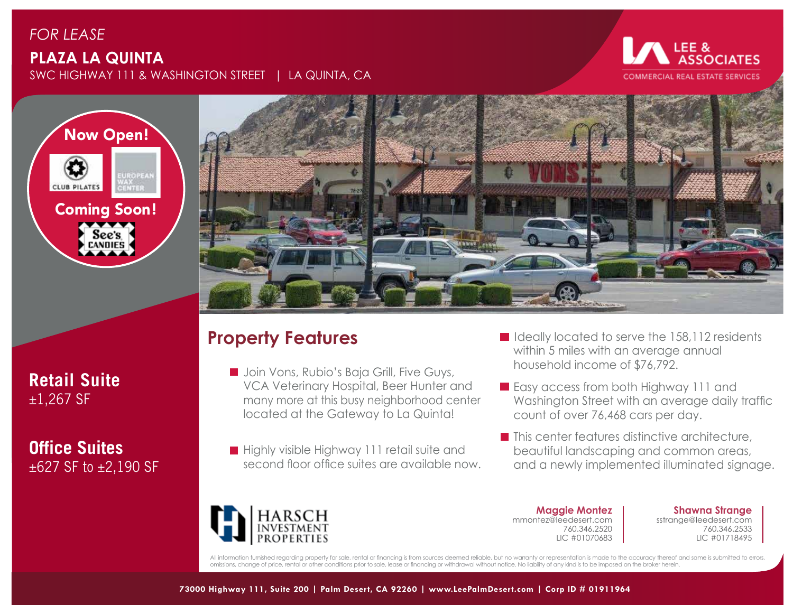## *FOR LEASE* **PLAZA LA QUINTA** SWC HIGHWAY 111 & WASHINGTON STREET | LA QUINTA, CA

#### LEE & **DCIATES COMMERCIAL REAL ESTATE SERVICES**



**Retail Suite**  $±1,267$  SF

**Office Suites** ±627 SF to ±2,190 SF



# **Property Features**

- **Join Vons, Rubio's Baja Grill, Five Guys,** VCA Veterinary Hospital, Beer Hunter and many more at this busy neighborhood center located at the Gateway to La Quinta!
- **Highly visible Highway 111 retail suite and** second floor office suites are available now.
- In Ideally located to serve the 158,112 residents within 5 miles with an average annual household income of \$76,792.
- **Easy access from both Highway 111 and** Washington Street with an average daily traffic count of over 76,468 cars per day.
- $\blacksquare$  This center features distinctive architecture, beautiful landscaping and common areas, and a newly implemented illuminated signage.



**Maggie Montez** mmontez@leedesert.com 760.346.2520 LIC #01070683

**Shawna Strange** sstrange@leedesert.com 760.346.2533 LIC #01718495

All information furnished regarding property for sale, rental or financing is from sources deemed reliable, but no warranty or representation is made to the accuracy thereof and same is submitted to errors, omissions, change of price, rental or other conditions prior to sale, lease or financing or withdrawal without notice. No liability of any kind is to be imposed on the broker herein.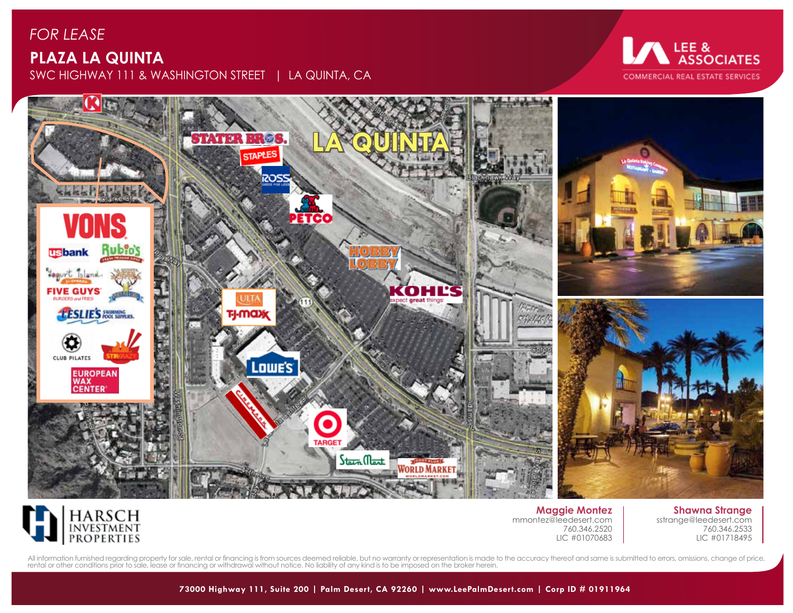## *FOR LEASE* **PLAZA LA QUINTA** SWC HIGHWAY 111 & WASHINGTON STREET | LA QUINTA, CA

# LEE &<br>ASSOCIATES **COMMERCIAL REAL ESTATE SERVICES**





**Maggie Montez** mmontez@leedesert.com 760.346.2520 LIC #01070683

**Shawna Strange** sstrange@leedesert.com 760.346.2533 LIC #01718495

All information furnished regarding property for sale, rental or financing is from sources deemed reliable, but no warranty or representation is made to the accuracy thereof and same is submitted to errors, omissions, chan